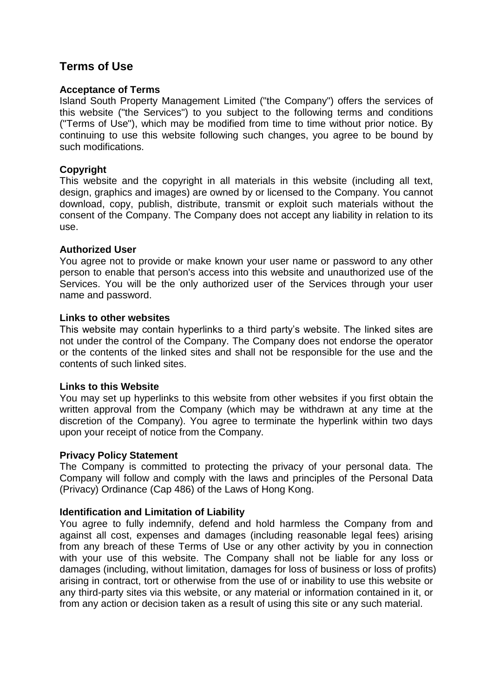# **Terms of Use**

#### **Acceptance of Terms**

Island South Property Management Limited ("the Company") offers the services of this website ("the Services") to you subject to the following terms and conditions ("Terms of Use"), which may be modified from time to time without prior notice. By continuing to use this website following such changes, you agree to be bound by such modifications.

## **Copyright**

This website and the copyright in all materials in this website (including all text, design, graphics and images) are owned by or licensed to the Company. You cannot download, copy, publish, distribute, transmit or exploit such materials without the consent of the Company. The Company does not accept any liability in relation to its use.

## **Authorized User**

You agree not to provide or make known your user name or password to any other person to enable that person's access into this website and unauthorized use of the Services. You will be the only authorized user of the Services through your user name and password.

#### **Links to other websites**

This website may contain hyperlinks to a third party's website. The linked sites are not under the control of the Company. The Company does not endorse the operator or the contents of the linked sites and shall not be responsible for the use and the contents of such linked sites.

## **Links to this Website**

You may set up hyperlinks to this website from other websites if you first obtain the written approval from the Company (which may be withdrawn at any time at the discretion of the Company). You agree to terminate the hyperlink within two days upon your receipt of notice from the Company.

## **Privacy Policy Statement**

The Company is committed to protecting the privacy of your personal data. The Company will follow and comply with the laws and principles of the Personal Data (Privacy) Ordinance (Cap 486) of the Laws of Hong Kong.

## **Identification and Limitation of Liability**

You agree to fully indemnify, defend and hold harmless the Company from and against all cost, expenses and damages (including reasonable legal fees) arising from any breach of these Terms of Use or any other activity by you in connection with your use of this website. The Company shall not be liable for any loss or damages (including, without limitation, damages for loss of business or loss of profits) arising in contract, tort or otherwise from the use of or inability to use this website or any third-party sites via this website, or any material or information contained in it, or from any action or decision taken as a result of using this site or any such material.